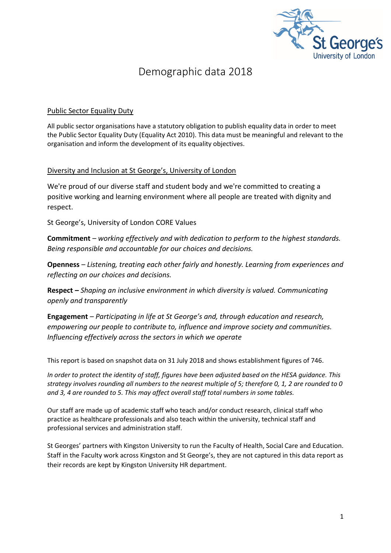

### Demographic data 2018

#### Public Sector Equality Duty

All public sector organisations have a statutory obligation to publish equality data in order to meet the Public Sector Equality Duty (Equality Act 2010). This data must be meaningful and relevant to the organisation and inform the development of its equality objectives.

#### Diversity and Inclusion at St George's, University of London

We're proud of our diverse staff and student body and we're committed to creating a positive working and learning environment where all people are treated with dignity and respect.

St George's, University of London CORE Values

**Commitment** *– working effectively and with dedication to perform to the highest standards. Being responsible and accountable for our choices and decisions.*

**Openness** *– Listening, treating each other fairly and honestly. Learning from experiences and reflecting on our choices and decisions.*

**Respect** *– Shaping an inclusive environment in which diversity is valued. Communicating openly and transparently*

**Engagement** *– Participating in life at St George's and, through education and research, empowering our people to contribute to, influence and improve society and communities. Influencing effectively across the sectors in which we operate*

This report is based on snapshot data on 31 July 2018 and shows establishment figures of 746.

*In order to protect the identity of staff, figures have been adjusted based on the HESA guidance. This strategy involves rounding all numbers to the nearest multiple of 5; therefore 0, 1, 2 are rounded to 0 and 3, 4 are rounded to 5. This may affect overall staff total numbers in some tables.*

Our staff are made up of academic staff who teach and/or conduct research, clinical staff who practice as healthcare professionals and also teach within the university, technical staff and professional services and administration staff.

St Georges' partners with Kingston University to run the Faculty of Health, Social Care and Education. Staff in the Faculty work across Kingston and St George's, they are not captured in this data report as their records are kept by Kingston University HR department.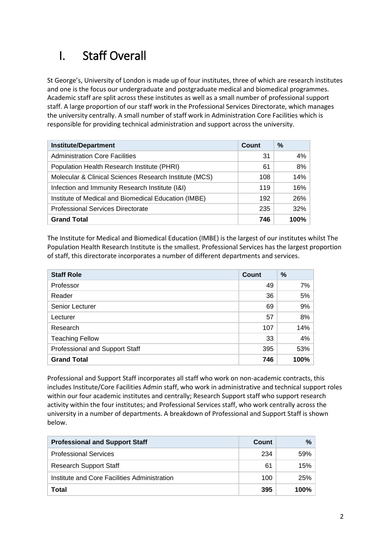# I. Staff Overall

St George's, University of London is made up of four institutes, three of which are research institutes and one is the focus our undergraduate and postgraduate medical and biomedical programmes. Academic staff are split across these institutes as well as a small number of professional support staff. A large proportion of our staff work in the Professional Services Directorate, which manages the university centrally. A small number of staff work in Administration Core Facilities which is responsible for providing technical administration and support across the university.

| <b>Institute/Department</b>                            | Count | $\%$  |
|--------------------------------------------------------|-------|-------|
| <b>Administration Core Facilities</b>                  | 31    | $4\%$ |
| Population Health Research Institute (PHRI)            | 61    | $8\%$ |
| Molecular & Clinical Sciences Research Institute (MCS) | 108   | 14%   |
| Infection and Immunity Research Institute (I&I)        |       | 16%   |
| Institute of Medical and Biomedical Education (IMBE)   | 192   | 26%   |
| <b>Professional Services Directorate</b>               | 235   | 32%   |
| <b>Grand Total</b>                                     | 746   | 100%  |

The Institute for Medical and Biomedical Education (IMBE) is the largest of our institutes whilst The Population Health Research Institute is the smallest. Professional Services has the largest proportion of staff, this directorate incorporates a number of different departments and services.

| <b>Staff Role</b>              | <b>Count</b> | $\%$  |
|--------------------------------|--------------|-------|
| Professor                      | 49           | $7\%$ |
| Reader                         | 36           | 5%    |
| Senior Lecturer                | 69           | 9%    |
| Lecturer                       | 57           | 8%    |
| Research                       | 107          | 14%   |
| <b>Teaching Fellow</b>         | 33           | 4%    |
| Professional and Support Staff | 395          | 53%   |
| <b>Grand Total</b>             | 746          | 100%  |

Professional and Support Staff incorporates all staff who work on non-academic contracts, this includes Institute/Core Facilities Admin staff, who work in administrative and technical support roles within our four academic institutes and centrally; Research Support staff who support research activity within the four institutes; and Professional Services staff, who work centrally across the university in a number of departments. A breakdown of Professional and Support Staff is shown below.

| <b>Professional and Support Staff</b>        | Count | %    |
|----------------------------------------------|-------|------|
| <b>Professional Services</b>                 | 234   | 59%  |
| <b>Research Support Staff</b>                | 61    | 15%  |
| Institute and Core Facilities Administration | 100   | 25%  |
| Total                                        | 395   | 100% |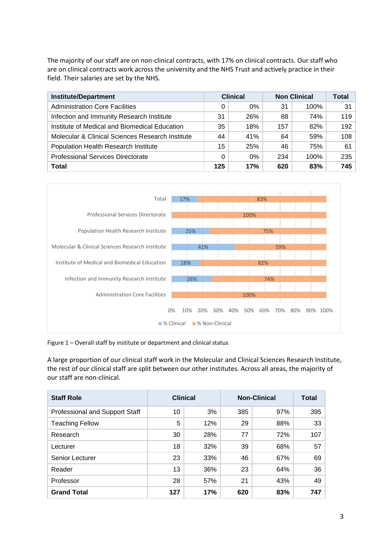The majority of our staff are on non-clinical contracts, with 17% on clinical contracts. Our staff who are on clinical contracts work across the university and the NHS Trust and actively practice in their field. Their salaries are set by the NHS.

| <b>Institute/Department</b>                      | <b>Clinical</b><br><b>Non Clinical</b> |       | Total |      |     |
|--------------------------------------------------|----------------------------------------|-------|-------|------|-----|
| <b>Administration Core Facilities</b>            | 0                                      | $0\%$ | 31    | 100% | 31  |
| Infection and Immunity Research Institute        | 31                                     | 26%   | 88    | 74%  | 119 |
| Institute of Medical and Biomedical Education    | 35                                     | 18%   | 157   | 82%  | 192 |
| Molecular & Clinical Sciences Research Institute | 44                                     | 41%   | 64    | 59%  | 108 |
| Population Health Research Institute             | 15                                     | 25%   | 46    | 75%  | 61  |
| <b>Professional Services Directorate</b>         | 0                                      | 0%    | 234   | 100% | 235 |
| Total                                            | 125                                    | 17%   | 620   | 83%  | 745 |



Figure 1 – Overall staff by institute or department and clinical status

A large proportion of our clinical staff work in the Molecular and Clinical Sciences Research Institute, the rest of our clinical staff are split between our other institutes. Across all areas, the majority of our staff are non-clinical.

| <b>Staff Role</b>              | <b>Clinical</b> |     | <b>Non-Clinical</b> | <b>Total</b> |     |
|--------------------------------|-----------------|-----|---------------------|--------------|-----|
| Professional and Support Staff | 10              | 3%  | 385                 | 97%          | 395 |
| <b>Teaching Fellow</b>         | 5               | 12% | 29                  | 88%          | 33  |
| Research                       | 30              | 28% | 77                  | 72%          | 107 |
| Lecturer                       | 18              | 32% | 39                  | 68%          | 57  |
| Senior Lecturer                | 23              | 33% | 46                  | 67%          | 69  |
| Reader                         | 13              | 36% | 23                  | 64%          | 36  |
| Professor                      | 28              | 57% | 21                  | 43%          | 49  |
| <b>Grand Total</b>             | 127             | 17% | 620                 | 83%          | 747 |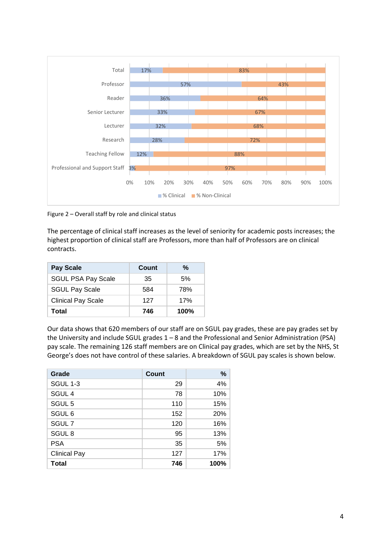

Figure 2 – Overall staff by role and clinical status

The percentage of clinical staff increases as the level of seniority for academic posts increases; the highest proportion of clinical staff are Professors, more than half of Professors are on clinical contracts.

| <b>Pay Scale</b>          | Count | %       |
|---------------------------|-------|---------|
| <b>SGUL PSA Pay Scale</b> | 35    | 5%      |
| <b>SGUL Pay Scale</b>     | 584   | 78%     |
| <b>Clinical Pay Scale</b> | 127   | 17%     |
| Total                     | 746   | $100\%$ |

Our data shows that 620 members of our staff are on SGUL pay grades, these are pay grades set by the University and include SGUL grades 1 – 8 and the Professional and Senior Administration (PSA) pay scale. The remaining 126 staff members are on Clinical pay grades, which are set by the NHS, St George's does not have control of these salaries. A breakdown of SGUL pay scales is shown below.

| Grade               | <b>Count</b> | %    |
|---------------------|--------------|------|
| <b>SGUL 1-3</b>     | 29           | 4%   |
| SGUL <sub>4</sub>   | 78           | 10%  |
| SGUL <sub>5</sub>   | 110          | 15%  |
| SGUL <sub>6</sub>   | 152          | 20%  |
| SGUL <sub>7</sub>   | 120          | 16%  |
| SGUL <sub>8</sub>   | 95           | 13%  |
| <b>PSA</b>          | 35           | 5%   |
| <b>Clinical Pay</b> | 127          | 17%  |
| Total               | 746          | 100% |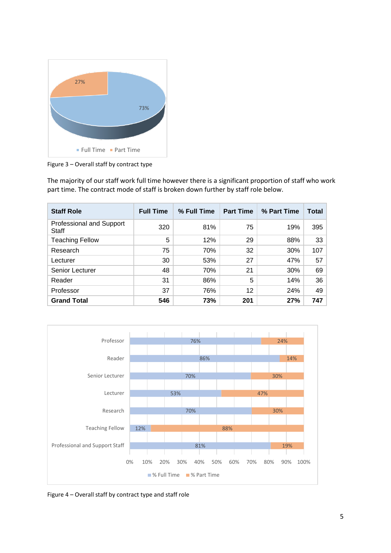

Figure 3 – Overall staff by contract type

The majority of our staff work full time however there is a significant proportion of staff who work part time. The contract mode of staff is broken down further by staff role below.

| <b>Staff Role</b>                        | <b>Full Time</b> | % Full Time | <b>Part Time</b> | % Part Time | <b>Total</b> |
|------------------------------------------|------------------|-------------|------------------|-------------|--------------|
| Professional and Support<br><b>Staff</b> | 320              | 81%         | 75               | 19%         | 395          |
| <b>Teaching Fellow</b>                   | 5                | 12%         | 29               | 88%         | 33           |
| Research                                 | 75               | 70%         | 32               | 30%         | 107          |
| Lecturer                                 | 30               | 53%         | 27               | 47%         | 57           |
| Senior Lecturer                          | 48               | 70%         | 21               | 30%         | 69           |
| Reader                                   | 31               | 86%         | 5                | 14%         | 36           |
| Professor                                | 37               | 76%         | 12               | 24%         | 49           |
| <b>Grand Total</b>                       | 546              | 73%         | 201              | 27%         | 747          |



Figure 4 – Overall staff by contract type and staff role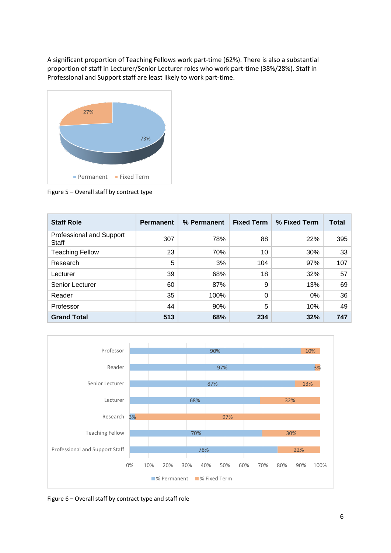A significant proportion of Teaching Fellows work part-time (62%). There is also a substantial proportion of staff in Lecturer/Senior Lecturer roles who work part-time (38%/28%). Staff in Professional and Support staff are least likely to work part-time.



Figure 5 – Overall staff by contract type

| <b>Staff Role</b>                        | <b>Permanent</b> | % Permanent | <b>Fixed Term</b> | % Fixed Term | Total |
|------------------------------------------|------------------|-------------|-------------------|--------------|-------|
| Professional and Support<br><b>Staff</b> | 307              | 78%         | 88                | 22%          | 395   |
| <b>Teaching Fellow</b>                   | 23               | 70%         | 10                | 30%          | 33    |
| Research                                 | 5                | 3%          | 104               | 97%          | 107   |
| Lecturer                                 | 39               | 68%         | 18                | 32%          | 57    |
| Senior Lecturer                          | 60               | 87%         | 9                 | 13%          | 69    |
| Reader                                   | 35               | 100%        | 0                 | $0\%$        | 36    |
| Professor                                | 44               | 90%         | 5                 | 10%          | 49    |
| <b>Grand Total</b>                       | 513              | 68%         | 234               | 32%          | 747   |



Figure 6 – Overall staff by contract type and staff role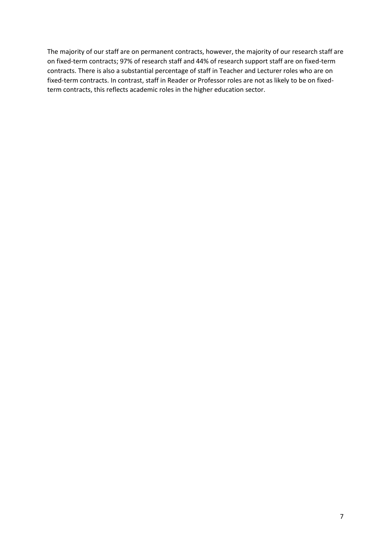The majority of our staff are on permanent contracts, however, the majority of our research staff are on fixed-term contracts; 97% of research staff and 44% of research support staff are on fixed-term contracts. There is also a substantial percentage of staff in Teacher and Lecturer roles who are on fixed-term contracts. In contrast, staff in Reader or Professor roles are not as likely to be on fixedterm contracts, this reflects academic roles in the higher education sector.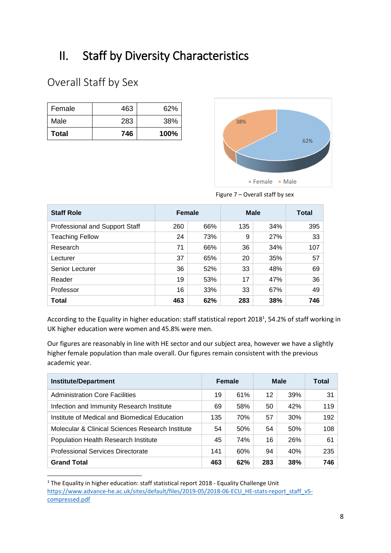# II. Staff by Diversity Characteristics

## Overall Staff by Sex

**.** 

| Total  | 746 | 100% |
|--------|-----|------|
| Male   | 283 | 38%  |
| Female | 463 | 62%  |



Figure 7 – Overall staff by sex

| <b>Staff Role</b>              | <b>Female</b> |     | <b>Male</b> | Total |     |
|--------------------------------|---------------|-----|-------------|-------|-----|
| Professional and Support Staff | 260           | 66% | 135         | 34%   | 395 |
| <b>Teaching Fellow</b>         | 24            | 73% | 9           | 27%   | 33  |
| Research                       | 71            | 66% | 36          | 34%   | 107 |
| Lecturer                       | 37            | 65% | 20          | 35%   | 57  |
| Senior Lecturer                | 36            | 52% | 33          | 48%   | 69  |
| Reader                         | 19            | 53% | 17          | 47%   | 36  |
| Professor                      | 16            | 33% | 33          | 67%   | 49  |
| <b>Total</b>                   | 463           | 62% | 283         | 38%   | 746 |

According to the Equality in higher education: staff statistical report 2018<sup>1</sup>, 54.2% of staff working in UK higher education were women and 45.8% were men.

Our figures are reasonably in line with HE sector and our subject area, however we have a slightly higher female population than male overall. Our figures remain consistent with the previous academic year.

| <b>Institute/Department</b>                      | Female |     | <b>Male</b> |     | Total |
|--------------------------------------------------|--------|-----|-------------|-----|-------|
| <b>Administration Core Facilities</b>            | 19     | 61% | 12          | 39% | 31    |
| Infection and Immunity Research Institute        | 69     | 58% | 50          | 42% | 119   |
| Institute of Medical and Biomedical Education    |        | 70% | 57          | 30% | 192   |
| Molecular & Clinical Sciences Research Institute | 54     | 50% | 54          | 50% | 108   |
| Population Health Research Institute             | 45     | 74% | 16          | 26% | 61    |
| <b>Professional Services Directorate</b>         |        | 60% | 94          | 40% | 235   |
| <b>Grand Total</b>                               | 463    | 62% | 283         | 38% | 746   |

<sup>&</sup>lt;sup>1</sup> The Equality in higher education: staff statistical report 2018 - Equality Challenge Unit [https://www.advance-he.ac.uk/sites/default/files/2019-05/2018-06-ECU\\_HE-stats-report\\_staff\\_v5](https://www.advance-he.ac.uk/sites/default/files/2019-05/2018-06-ECU_HE-stats-report_staff_v5-compressed.pdf) [compressed.pdf](https://www.advance-he.ac.uk/sites/default/files/2019-05/2018-06-ECU_HE-stats-report_staff_v5-compressed.pdf)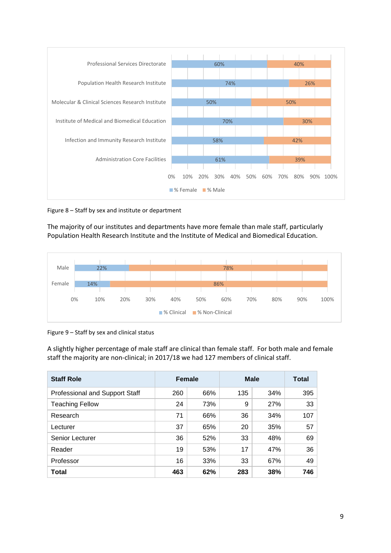

Figure 8 – Staff by sex and institute or department

The majority of our institutes and departments have more female than male staff, particularly Population Health Research Institute and the Institute of Medical and Biomedical Education.



Figure 9 – Staff by sex and clinical status

A slightly higher percentage of male staff are clinical than female staff. For both male and female staff the majority are non-clinical; in 2017/18 we had 127 members of clinical staff.

| <b>Staff Role</b>              | <b>Female</b> |     | <b>Male</b> | <b>Total</b> |     |
|--------------------------------|---------------|-----|-------------|--------------|-----|
| Professional and Support Staff | 260           | 66% | 135         | 34%          | 395 |
| <b>Teaching Fellow</b>         | 24            | 73% | 9           | 27%          | 33  |
| Research                       | 71            | 66% | 36          | 34%          | 107 |
| Lecturer                       | 37            | 65% | 20          | 35%          | 57  |
| Senior Lecturer                | 36            | 52% | 33          | 48%          | 69  |
| Reader                         | 19            | 53% | 17          | 47%          | 36  |
| Professor                      | 16            | 33% | 33          | 67%          | 49  |
| <b>Total</b>                   | 463           | 62% | 283         | 38%          | 746 |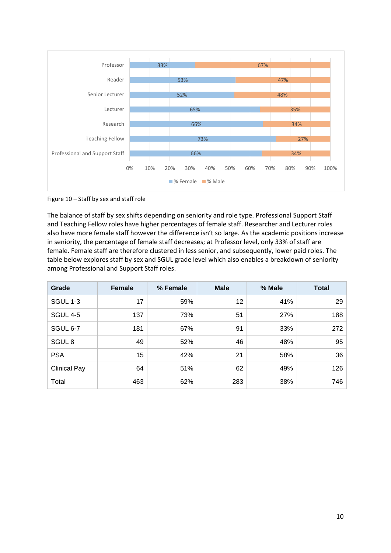

Figure 10 – Staff by sex and staff role

The balance of staff by sex shifts depending on seniority and role type. Professional Support Staff and Teaching Fellow roles have higher percentages of female staff. Researcher and Lecturer roles also have more female staff however the difference isn't so large. As the academic positions increase in seniority, the percentage of female staff decreases; at Professor level, only 33% of staff are female. Female staff are therefore clustered in less senior, and subsequently, lower paid roles. The table below explores staff by sex and SGUL grade level which also enables a breakdown of seniority among Professional and Support Staff roles.

| Grade               | <b>Female</b> | % Female | <b>Male</b> | % Male | <b>Total</b> |
|---------------------|---------------|----------|-------------|--------|--------------|
| <b>SGUL 1-3</b>     | 17            | 59%      | 12          | 41%    | 29           |
| <b>SGUL 4-5</b>     | 137           | 73%      | 51          | 27%    | 188          |
| <b>SGUL 6-7</b>     | 181           | 67%      | 91          | 33%    | 272          |
| SGUL <sub>8</sub>   | 49            | 52%      | 46          | 48%    | 95           |
| <b>PSA</b>          | 15            | 42%      | 21          | 58%    | 36           |
| <b>Clinical Pay</b> | 64            | 51%      | 62          | 49%    | 126          |
| Total               | 463           | 62%      | 283         | 38%    | 746          |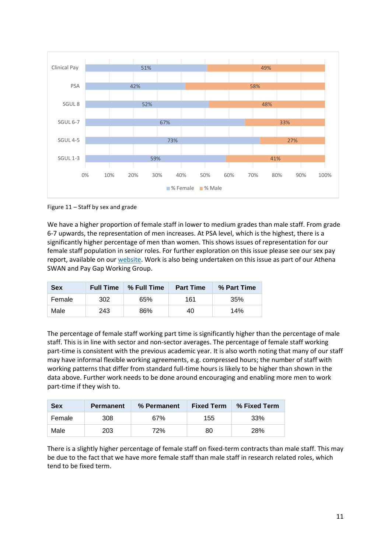

Figure 11 – Staff by sex and grade

We have a higher proportion of female staff in lower to medium grades than male staff. From grade 6-7 upwards, the representation of men increases. At PSA level, which is the highest, there is a significantly higher percentage of men than women. This shows issues of representation for our female staff population in senior roles. For further exploration on this issue please see our sex pay report, available on ou[r website.](https://www.sgul.ac.uk/about/our-professional-services/human-resources/equality-and-diversity/equal-pay-and-equal-gender) Work is also being undertaken on this issue as part of our Athena SWAN and Pay Gap Working Group.

| <b>Sex</b> | <b>Full Time</b> | ∣ % Full Time<br><b>Part Time</b> |     | % Part Time |
|------------|------------------|-----------------------------------|-----|-------------|
| Female     | 302              | 65%                               | 161 | 35%         |
| Male       | 243              | 86%                               | 40  | 14%         |

The percentage of female staff working part time is significantly higher than the percentage of male staff. This is in line with sector and non-sector averages. The percentage of female staff working part-time is consistent with the previous academic year. It is also worth noting that many of our staff may have informal flexible working agreements, e.g. compressed hours; the number of staff with working patterns that differ from standard full-time hours is likely to be higher than shown in the data above. Further work needs to be done around encouraging and enabling more men to work part-time if they wish to.

| <b>Sex</b> | <b>Permanent</b> | % Permanent | <b>Fixed Term</b> | % Fixed Term |
|------------|------------------|-------------|-------------------|--------------|
| Female     | 308              | 67%         | 155               | 33%          |
| Male       | 203              | 72%         | 80                | 28%          |

There is a slightly higher percentage of female staff on fixed-term contracts than male staff. This may be due to the fact that we have more female staff than male staff in research related roles, which tend to be fixed term.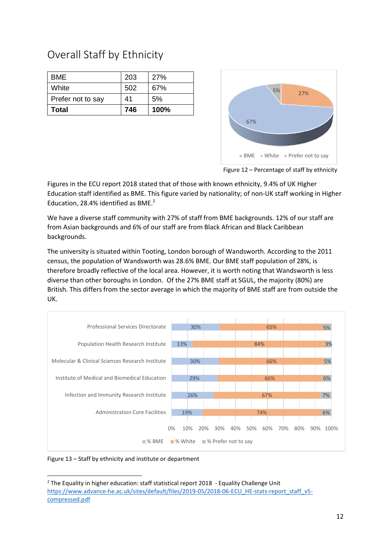| <b>BME</b>        | 203 | 27%  |
|-------------------|-----|------|
| White             | 502 | 67%  |
| Prefer not to say | 41  | 5%   |
| <b>Total</b>      | 746 | 100% |

## Overall Staff by Ethnicity



Figure 12 – Percentage of staff by ethnicity

Figures in the ECU report 2018 stated that of those with known ethnicity, 9.4% of UK Higher Education staff identified as BME. This figure varied by nationality; of non-UK staff working in Higher Education, 28.4% identified as BME. 2

We have a diverse staff community with 27% of staff from BME backgrounds. 12% of our staff are from Asian backgrounds and 6% of our staff are from Black African and Black Caribbean backgrounds.

The university is situated within Tooting, London borough of Wandsworth. According to the 2011 census, the population of Wandsworth was 28.6% BME. Our BME staff population of 28%, is therefore broadly reflective of the local area. However, it is worth noting that Wandsworth is less diverse than other boroughs in London. Of the 27% BME staff at SGUL, the majority (80%) are British. This differs from the sector average in which the majority of BME staff are from outside the UK.



Figure 13 – Staff by ethnicity and institute or department

**.** 

<sup>&</sup>lt;sup>2</sup> The Equality in higher education: staff statistical report 2018 - Equality Challenge Unit [https://www.advance-he.ac.uk/sites/default/files/2019-05/2018-06-ECU\\_HE-stats-report\\_staff\\_v5](https://www.advance-he.ac.uk/sites/default/files/2019-05/2018-06-ECU_HE-stats-report_staff_v5-compressed.pdf) [compressed.pdf](https://www.advance-he.ac.uk/sites/default/files/2019-05/2018-06-ECU_HE-stats-report_staff_v5-compressed.pdf)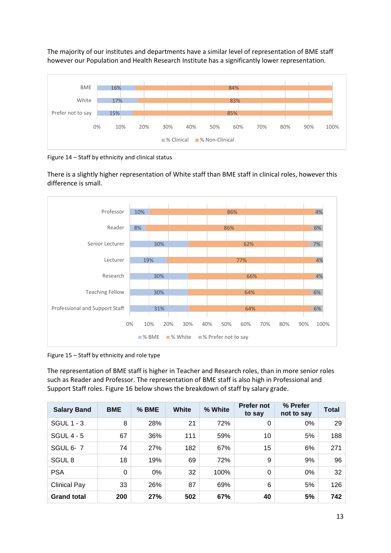The majority of our institutes and departments have a similar level of representation of BME staff however our Population and Health Research Institute has a significantly lower representation.



Figure 14 – Staff by ethnicity and clinical status

There is a slightly higher representation of White staff than BME staff in clinical roles, however this difference is small.



Figure 15 – Staff by ethnicity and role type

The representation of BME staff is higher in Teacher and Research roles, than in more senior roles such as Reader and Professor. The representation of BME staff is also high in Professional and Support Staff roles. Figure 16 below shows the breakdown of staff by salary grade.

| <b>Salary Band</b>  | <b>BME</b> | $%$ BME | White | % White | <b>Prefer not</b><br>to say | % Prefer<br>not to say | <b>Total</b> |
|---------------------|------------|---------|-------|---------|-----------------------------|------------------------|--------------|
| <b>SGUL 1 - 3</b>   | 8          | 28%     | 21    | 72%     | 0                           | $0\%$                  | 29           |
| <b>SGUL 4 - 5</b>   | 67         | 36%     | 111   | 59%     | 10                          | 5%                     | 188          |
| <b>SGUL 6-7</b>     | 74         | 27%     | 182   | 67%     | 15                          | 6%                     | 271          |
| SGUL <sub>8</sub>   | 18         | 19%     | 69    | 72%     | 9                           | 9%                     | 96           |
| <b>PSA</b>          | 0          | 0%      | 32    | 100%    | $\Omega$                    | $0\%$                  | 32           |
| <b>Clinical Pay</b> | 33         | 26%     | 87    | 69%     | 6                           | 5%                     | 126          |
| <b>Grand total</b>  | 200        | 27%     | 502   | 67%     | 40                          | 5%                     | 742          |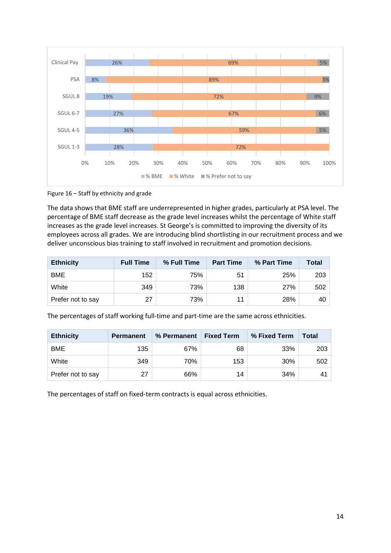

Figure 16 – Staff by ethnicity and grade

The data shows that BME staff are underrepresented in higher grades, particularly at PSA level. The percentage of BME staff decrease as the grade level increases whilst the percentage of White staff increases as the grade level increases. St George's is committed to improving the diversity of its employees across all grades. We are introducing blind shortlisting in our recruitment process and we deliver unconscious bias training to staff involved in recruitment and promotion decisions.

| <b>Ethnicity</b>  | <b>Full Time</b> | % Full Time | <b>Part Time</b> | % Part Time | <b>Total</b> |
|-------------------|------------------|-------------|------------------|-------------|--------------|
| <b>BME</b>        | 152              | 75%         | 51               | 25%         | 203          |
| White             | 349              | 73%         | 138              | 27%         | 502          |
| Prefer not to say | 27               | 73%         |                  | 28%         | 40 l         |

The percentages of staff working full-time and part-time are the same across ethnicities.

| <b>Ethnicity</b>  | <b>Permanent</b> | % Permanent | <b>Fixed Term</b> | % Fixed Term | Total |
|-------------------|------------------|-------------|-------------------|--------------|-------|
| <b>BME</b>        | 135              | 67%         | 68                | 33%          | 203   |
| White             | 349              | 70%         | 153               | 30%          | 502   |
| Prefer not to say | 27               | 66%         | 14                | 34%          | 41    |

The percentages of staff on fixed-term contracts is equal across ethnicities.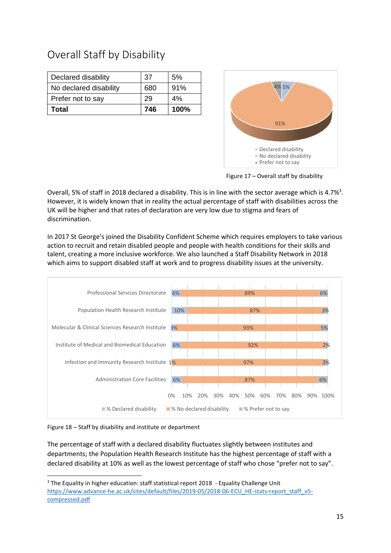### Overall Staff by Disability

| Declared disability    | 37  | 5%   |
|------------------------|-----|------|
| No declared disability | 680 | 91%  |
| Prefer not to say      | 29  | 4%   |
| <b>Total</b>           | 746 | 100% |

![](_page_14_Figure_2.jpeg)

Figure 17 – Overall staff by disability

Overall, 5% of staff in 2018 declared a disability. This is in line with the sector average which is 4.7%<sup>3</sup>. However, it is widely known that in reality the actual percentage of staff with disabilities across the UK will be higher and that rates of declaration are very low due to stigma and fears of discrimination.

In 2017 St George's joined the Disability Confident Scheme which requires employers to take various action to recruit and retain disabled people and people with health conditions for their skills and talent, creating a more inclusive workforce. We also launched a Staff Disability Network in 2018 which aims to support disabled staff at work and to progress disability issues at the university.

![](_page_14_Figure_6.jpeg)

Figure 18 – Staff by disability and institute or department

**.** 

The percentage of staff with a declared disability fluctuates slightly between institutes and departments; the Population Health Research Institute has the highest percentage of staff with a declared disability at 10% as well as the lowest percentage of staff who chose "prefer not to say".

<sup>&</sup>lt;sup>3</sup> The Equality in higher education: staff statistical report 2018 - Equality Challenge Unit [https://www.advance-he.ac.uk/sites/default/files/2019-05/2018-06-ECU\\_HE-stats-report\\_staff\\_v5](https://www.advance-he.ac.uk/sites/default/files/2019-05/2018-06-ECU_HE-stats-report_staff_v5-compressed.pdf) [compressed.pdf](https://www.advance-he.ac.uk/sites/default/files/2019-05/2018-06-ECU_HE-stats-report_staff_v5-compressed.pdf)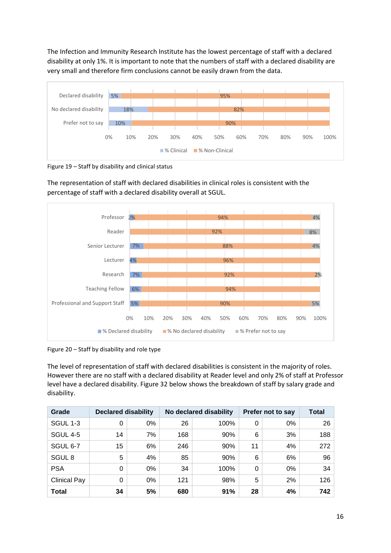The Infection and Immunity Research Institute has the lowest percentage of staff with a declared disability at only 1%. It is important to note that the numbers of staff with a declared disability are very small and therefore firm conclusions cannot be easily drawn from the data.

![](_page_15_Figure_1.jpeg)

Figure 19 – Staff by disability and clinical status

The representation of staff with declared disabilities in clinical roles is consistent with the percentage of staff with a declared disability overall at SGUL.

![](_page_15_Figure_4.jpeg)

Figure 20 – Staff by disability and role type

The level of representation of staff with declared disabilities is consistent in the majority of roles. However there are no staff with a declared disability at Reader level and only 2% of staff at Professor level have a declared disability. Figure 32 below shows the breakdown of staff by salary grade and disability.

| Grade               | <b>Declared disability</b> |       | No declared disability |      |    | <b>Prefer not to say</b> | <b>Total</b> |
|---------------------|----------------------------|-------|------------------------|------|----|--------------------------|--------------|
| SGUL 1-3            | 0                          | 0%    | 26                     | 100% | 0  | 0%                       | 26           |
| <b>SGUL 4-5</b>     | 14                         | 7%    | 168                    | 90%  | 6  | 3%                       | 188          |
| SGUL 6-7            | 15                         | 6%    | 246                    | 90%  | 11 | 4%                       | 272          |
| SGUL <sub>8</sub>   | 5                          | 4%    | 85                     | 90%  | 6  | 6%                       | 96           |
| <b>PSA</b>          | 0                          | $0\%$ | 34                     | 100% | 0  | $0\%$                    | 34           |
| <b>Clinical Pay</b> | 0                          | 0%    | 121                    | 98%  | 5  | 2%                       | 126          |
| <b>Total</b>        | 34                         | 5%    | 680                    | 91%  | 28 | 4%                       | 742          |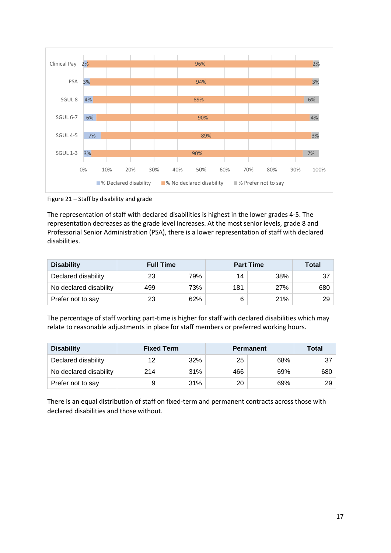![](_page_16_Figure_0.jpeg)

Figure 21 – Staff by disability and grade

The representation of staff with declared disabilities is highest in the lower grades 4-5. The representation decreases as the grade level increases. At the most senior levels, grade 8 and Professorial Senior Administration (PSA), there is a lower representation of staff with declared disabilities.

| <b>Disability</b>      | <b>Full Time</b> |     | <b>Part Time</b> | Total |     |
|------------------------|------------------|-----|------------------|-------|-----|
| Declared disability    | 23               | 79% | 14               | 38%   |     |
| No declared disability | 499              | 73% | 181              | 27%   | 680 |
| Prefer not to say      | 23               | 62% |                  | 21%   | 29  |

The percentage of staff working part-time is higher for staff with declared disabilities which may relate to reasonable adjustments in place for staff members or preferred working hours.

| <b>Disability</b>      | <b>Fixed Term</b> |     | <b>Permanent</b> | Total |     |
|------------------------|-------------------|-----|------------------|-------|-----|
| Declared disability    | 12                | 32% | 25               | 68%   | -37 |
| No declared disability | 214               | 31% | 466              | 69%   | 680 |
| Prefer not to say      |                   | 31% | 20               | 69%   | 29  |

There is an equal distribution of staff on fixed-term and permanent contracts across those with declared disabilities and those without.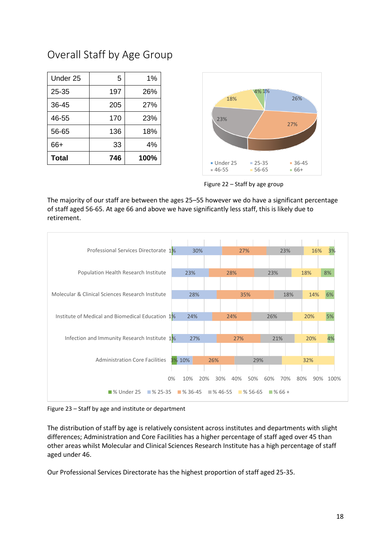#### Overall Staff by Age Group

| Under 25     | 5   | 1%   |
|--------------|-----|------|
| $25 - 35$    | 197 | 26%  |
| 36-45        | 205 | 27%  |
| 46-55        | 170 | 23%  |
| 56-65        | 136 | 18%  |
| 66+          | 33  | 4%   |
| <b>Total</b> | 746 | 100% |

![](_page_17_Figure_2.jpeg)

Figure 22 – Staff by age group

The majority of our staff are between the ages 25–55 however we do have a significant percentage of staff aged 56-65. At age 66 and above we have significantly less staff, this is likely due to retirement.

![](_page_17_Figure_5.jpeg)

Figure 23 – Staff by age and institute or department

The distribution of staff by age is relatively consistent across institutes and departments with slight differences; Administration and Core Facilities has a higher percentage of staff aged over 45 than other areas whilst Molecular and Clinical Sciences Research Institute has a high percentage of staff aged under 46.

Our Professional Services Directorate has the highest proportion of staff aged 25-35.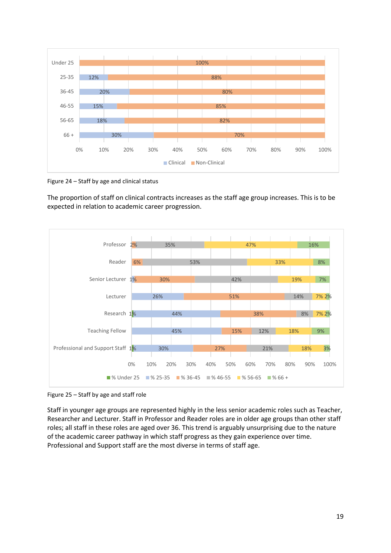![](_page_18_Figure_0.jpeg)

Figure 24 – Staff by age and clinical status

The proportion of staff on clinical contracts increases as the staff age group increases. This is to be expected in relation to academic career progression.

![](_page_18_Figure_3.jpeg)

Figure 25 – Staff by age and staff role

Staff in younger age groups are represented highly in the less senior academic roles such as Teacher, Researcher and Lecturer. Staff in Professor and Reader roles are in older age groups than other staff roles; all staff in these roles are aged over 36. This trend is arguably unsurprising due to the nature of the academic career pathway in which staff progress as they gain experience over time. Professional and Support staff are the most diverse in terms of staff age.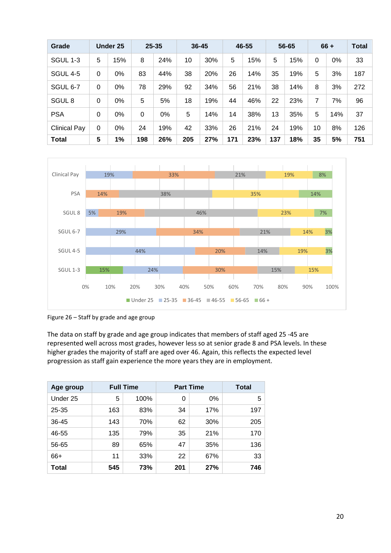| Grade               |          | <b>Under 25</b> |          | $25 - 35$ | $36 - 45$ |     |     | 46-55 |     | 56-65 |    | $66 +$ | <b>Total</b> |
|---------------------|----------|-----------------|----------|-----------|-----------|-----|-----|-------|-----|-------|----|--------|--------------|
| SGUL 1-3            | 5        | 15%             | 8        | 24%       | 10        | 30% | 5   | 15%   | 5   | 15%   | 0  | 0%     | 33           |
| <b>SGUL 4-5</b>     | $\Omega$ | 0%              | 83       | 44%       | 38        | 20% | 26  | 14%   | 35  | 19%   | 5  | 3%     | 187          |
| SGUL 6-7            | $\Omega$ | 0%              | 78       | 29%       | 92        | 34% | 56  | 21%   | 38  | 14%   | 8  | 3%     | 272          |
| SGUL <sub>8</sub>   | $\Omega$ | 0%              | 5        | 5%        | 18        | 19% | 44  | 46%   | 22  | 23%   | 7  | 7%     | 96           |
| <b>PSA</b>          | $\Omega$ | 0%              | $\Omega$ | 0%        | 5         | 14% | 14  | 38%   | 13  | 35%   | 5  | 14%    | 37           |
| <b>Clinical Pay</b> | 0        | 0%              | 24       | 19%       | 42        | 33% | 26  | 21%   | 24  | 19%   | 10 | 8%     | 126          |
| <b>Total</b>        | 5        | 1%              | 198      | 26%       | 205       | 27% | 171 | 23%   | 137 | 18%   | 35 | 5%     | 751          |

![](_page_19_Figure_1.jpeg)

Figure 26 – Staff by grade and age group

The data on staff by grade and age group indicates that members of staff aged 25 -45 are represented well across most grades, however less so at senior grade 8 and PSA levels. In these higher grades the majority of staff are aged over 46. Again, this reflects the expected level progression as staff gain experience the more years they are in employment.

| Age group    | <b>Full Time</b> |      | <b>Part Time</b> | Total |     |
|--------------|------------------|------|------------------|-------|-----|
| Under 25     | 5                | 100% | 0                | 0%    | 5   |
| $25 - 35$    | 163              | 83%  | 34               | 17%   | 197 |
| 36-45        | 143              | 70%  | 62               | 30%   | 205 |
| 46-55        | 135              | 79%  | 35               | 21%   | 170 |
| 56-65        | 89               | 65%  | 47               | 35%   | 136 |
| 66+          | 11               | 33%  | 22               | 67%   | 33  |
| <b>Total</b> | 545              | 73%  | 201              | 27%   | 746 |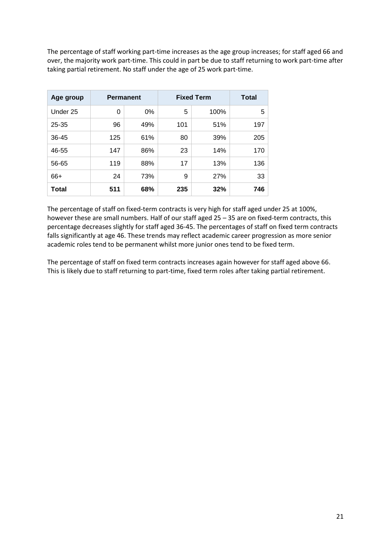The percentage of staff working part-time increases as the age group increases; for staff aged 66 and over, the majority work part-time. This could in part be due to staff returning to work part-time after taking partial retirement. No staff under the age of 25 work part-time.

| Age group | <b>Permanent</b> |     | <b>Fixed Term</b> | <b>Total</b> |     |  |
|-----------|------------------|-----|-------------------|--------------|-----|--|
| Under 25  | 0                | 0%  | 5                 | 100%         | 5   |  |
| $25 - 35$ | 96               | 49% | 101               | 51%          | 197 |  |
| 36-45     | 125              | 61% | 80                | 39%          | 205 |  |
| 46-55     | 147              | 86% | 23                | 14%          | 170 |  |
| 56-65     | 119              | 88% | 17                | 13%          | 136 |  |
| 66+       | 24               | 73% | 9                 | 27%          | 33  |  |
| Total     | 511              | 68% | 235               | 32%          | 746 |  |

The percentage of staff on fixed-term contracts is very high for staff aged under 25 at 100%, however these are small numbers. Half of our staff aged 25 – 35 are on fixed-term contracts, this percentage decreases slightly for staff aged 36-45. The percentages of staff on fixed term contracts falls significantly at age 46. These trends may reflect academic career progression as more senior academic roles tend to be permanent whilst more junior ones tend to be fixed term.

The percentage of staff on fixed term contracts increases again however for staff aged above 66. This is likely due to staff returning to part-time, fixed term roles after taking partial retirement.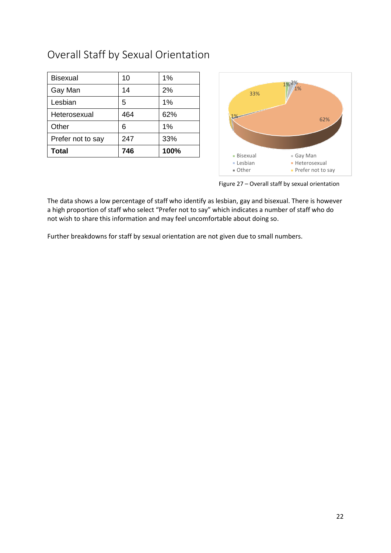### Overall Staff by Sexual Orientation

| <b>Bisexual</b>   | 10  | 1%   |
|-------------------|-----|------|
| Gay Man           | 14  | 2%   |
| Lesbian           | 5   | 1%   |
| Heterosexual      | 464 | 62%  |
| Other             | 6   | 1%   |
| Prefer not to say | 247 | 33%  |
| <b>Total</b>      | 746 | 100% |

![](_page_21_Figure_2.jpeg)

Figure 27 – Overall staff by sexual orientation

The data shows a low percentage of staff who identify as lesbian, gay and bisexual. There is however a high proportion of staff who select "Prefer not to say" which indicates a number of staff who do not wish to share this information and may feel uncomfortable about doing so.

Further breakdowns for staff by sexual orientation are not given due to small numbers.